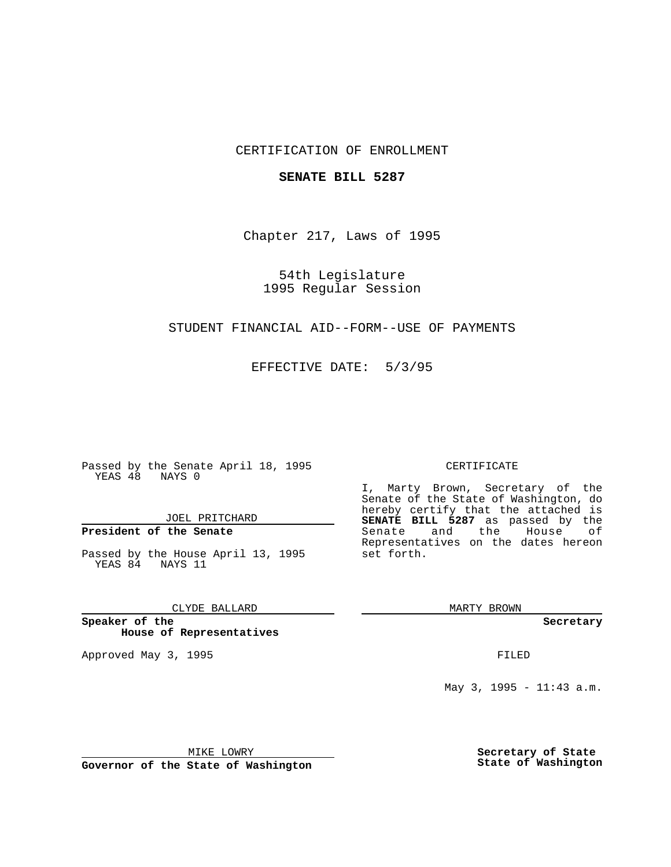## CERTIFICATION OF ENROLLMENT

### **SENATE BILL 5287**

Chapter 217, Laws of 1995

54th Legislature 1995 Regular Session

## STUDENT FINANCIAL AID--FORM--USE OF PAYMENTS

EFFECTIVE DATE: 5/3/95

Passed by the Senate April 18, 1995 YEAS 48 NAYS 0

JOEL PRITCHARD

# **President of the Senate**

Passed by the House April 13, 1995 YEAS 84 NAYS 11

CLYDE BALLARD

**Speaker of the House of Representatives**

Approved May 3, 1995 **FILED** 

#### CERTIFICATE

I, Marty Brown, Secretary of the Senate of the State of Washington, do hereby certify that the attached is **SENATE BILL 5287** as passed by the Senate and the House of Representatives on the dates hereon set forth.

MARTY BROWN

**Secretary**

May 3, 1995 - 11:43 a.m.

MIKE LOWRY

**Governor of the State of Washington**

**Secretary of State State of Washington**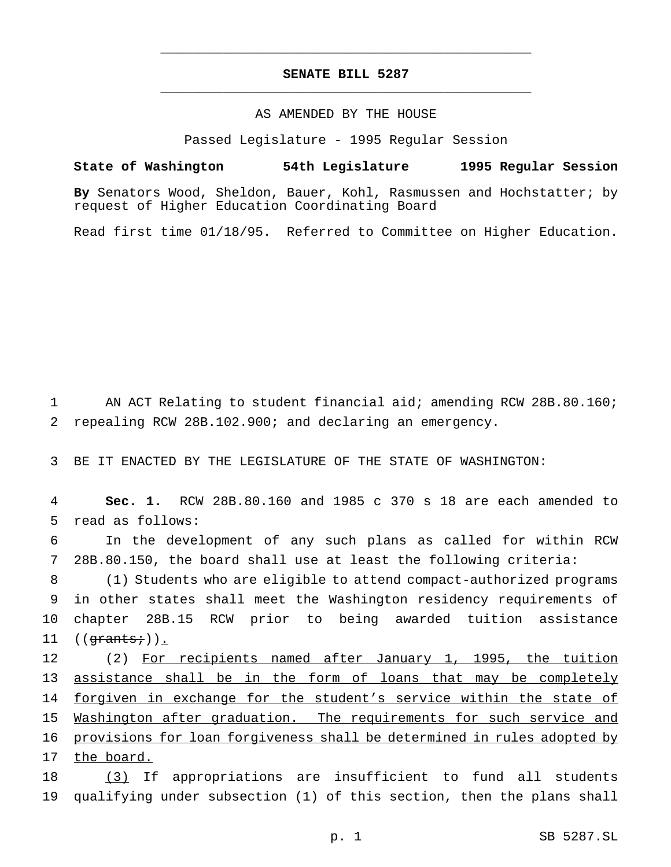## **SENATE BILL 5287** \_\_\_\_\_\_\_\_\_\_\_\_\_\_\_\_\_\_\_\_\_\_\_\_\_\_\_\_\_\_\_\_\_\_\_\_\_\_\_\_\_\_\_\_\_\_\_

\_\_\_\_\_\_\_\_\_\_\_\_\_\_\_\_\_\_\_\_\_\_\_\_\_\_\_\_\_\_\_\_\_\_\_\_\_\_\_\_\_\_\_\_\_\_\_

## AS AMENDED BY THE HOUSE

Passed Legislature - 1995 Regular Session

**State of Washington 54th Legislature 1995 Regular Session**

**By** Senators Wood, Sheldon, Bauer, Kohl, Rasmussen and Hochstatter; by request of Higher Education Coordinating Board

Read first time 01/18/95. Referred to Committee on Higher Education.

1 AN ACT Relating to student financial aid; amending RCW 28B.80.160; 2 repealing RCW 28B.102.900; and declaring an emergency.

3 BE IT ENACTED BY THE LEGISLATURE OF THE STATE OF WASHINGTON:

4 **Sec. 1.** RCW 28B.80.160 and 1985 c 370 s 18 are each amended to 5 read as follows:

6 In the development of any such plans as called for within RCW 7 28B.80.150, the board shall use at least the following criteria:

 (1) Students who are eligible to attend compact-authorized programs in other states shall meet the Washington residency requirements of chapter 28B.15 RCW prior to being awarded tuition assistance  $((*qrants*);)$ .

12 (2) For recipients named after January 1, 1995, the tuition 13 assistance shall be in the form of loans that may be completely 14 forgiven in exchange for the student's service within the state of 15 Washington after graduation. The requirements for such service and 16 provisions for loan forgiveness shall be determined in rules adopted by 17 the board.

18 (3) If appropriations are insufficient to fund all students 19 qualifying under subsection (1) of this section, then the plans shall